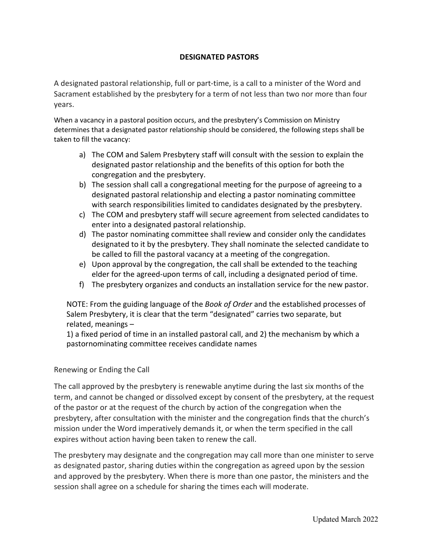## **DESIGNATED PASTORS**

A designated pastoral relationship, full or part-time, is a call to a minister of the Word and Sacrament established by the presbytery for a term of not less than two nor more than four years.

When a vacancy in a pastoral position occurs, and the presbytery's Commission on Ministry determines that a designated pastor relationship should be considered, the following steps shall be taken to fill the vacancy:

- a) The COM and Salem Presbytery staff will consult with the session to explain the designated pastor relationship and the benefits of this option for both the congregation and the presbytery.
- b) The session shall call a congregational meeting for the purpose of agreeing to a designated pastoral relationship and electing a pastor nominating committee with search responsibilities limited to candidates designated by the presbytery.
- c) The COM and presbytery staff will secure agreement from selected candidates to enter into a designated pastoral relationship.
- d) The pastor nominating committee shall review and consider only the candidates designated to it by the presbytery. They shall nominate the selected candidate to be called to fill the pastoral vacancy at a meeting of the congregation.
- e) Upon approval by the congregation, the call shall be extended to the teaching elder for the agreed-upon terms of call, including a designated period of time.
- f) The presbytery organizes and conducts an installation service for the new pastor.

NOTE: From the guiding language of the *Book of Order* and the established processes of Salem Presbytery, it is clear that the term "designated" carries two separate, but related, meanings –

1) a fixed period of time in an installed pastoral call, and 2) the mechanism by which a pastornominating committee receives candidate names

## Renewing or Ending the Call

The call approved by the presbytery is renewable anytime during the last six months of the term, and cannot be changed or dissolved except by consent of the presbytery, at the request of the pastor or at the request of the church by action of the congregation when the presbytery, after consultation with the minister and the congregation finds that the church's mission under the Word imperatively demands it, or when the term specified in the call expires without action having been taken to renew the call.

The presbytery may designate and the congregation may call more than one minister to serve as designated pastor, sharing duties within the congregation as agreed upon by the session and approved by the presbytery. When there is more than one pastor, the ministers and the session shall agree on a schedule for sharing the times each will moderate.